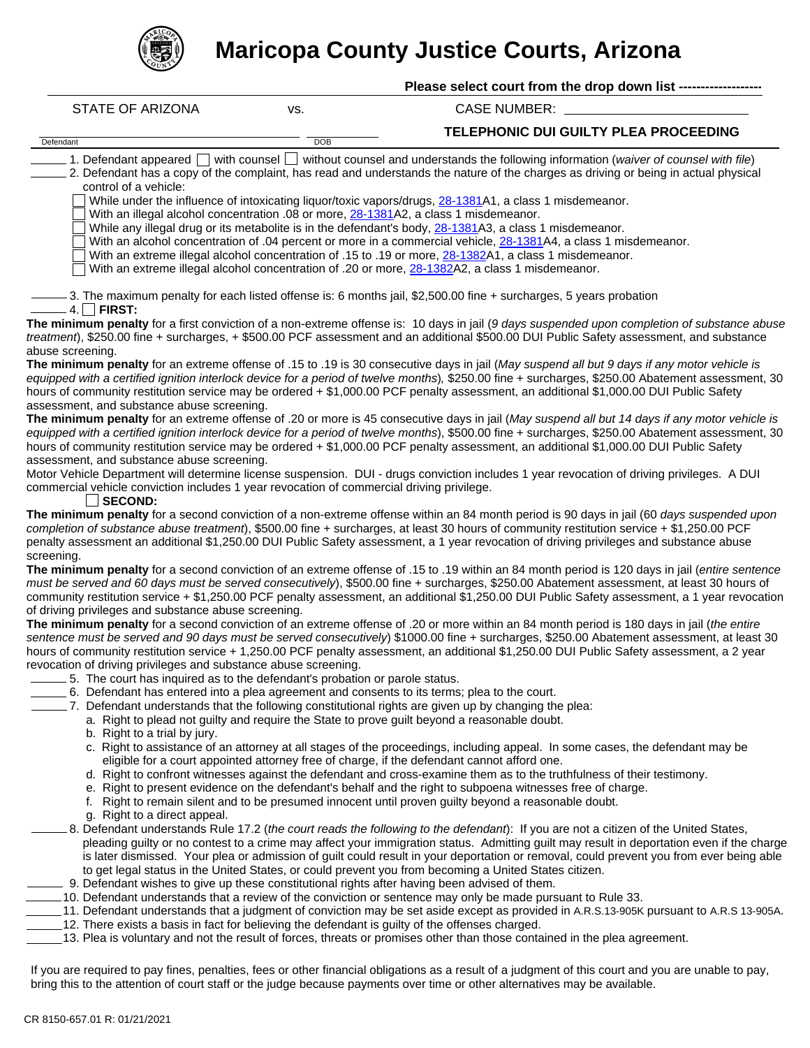

## **Maricopa County Justice Courts, Arizona**

| UN.                                                                                                  |            |                                                                                                                                                                                                                                                                                        |
|------------------------------------------------------------------------------------------------------|------------|----------------------------------------------------------------------------------------------------------------------------------------------------------------------------------------------------------------------------------------------------------------------------------------|
|                                                                                                      |            | Please select court from the drop down list --------------                                                                                                                                                                                                                             |
| <b>STATE OF ARIZONA</b>                                                                              | VS.        | <b>CASE NUMBER:</b>                                                                                                                                                                                                                                                                    |
| Defendant                                                                                            | <b>DOB</b> | TELEPHONIC DUI GUILTY PLEA PROCEEDING                                                                                                                                                                                                                                                  |
|                                                                                                      |            | 1. Defendant appeared with counsel without counsel and understands the following information (waiver of counsel with file)                                                                                                                                                             |
| control of a vehicle:                                                                                |            | 2. Defendant has a copy of the complaint, has read and understands the nature of the charges as driving or being in actual physical                                                                                                                                                    |
|                                                                                                      |            | While under the influence of intoxicating liquor/toxic vapors/drugs, 28-1381A1, a class 1 misdemeanor.<br>With an illegal alcohol concentration .08 or more, 28-1381A2, a class 1 misdemeanor.                                                                                         |
|                                                                                                      |            | While any illegal drug or its metabolite is in the defendant's body, 28-1381A3, a class 1 misdemeanor.                                                                                                                                                                                 |
|                                                                                                      |            | With an alcohol concentration of .04 percent or more in a commercial vehicle, 28-1381A4, a class 1 misdemeanor.                                                                                                                                                                        |
|                                                                                                      |            | With an extreme illegal alcohol concentration of .15 to .19 or more, 28-1382A1, a class 1 misdemeanor.<br>With an extreme illegal alcohol concentration of .20 or more, 28-1382A2, a class 1 misdemeanor.                                                                              |
| $4. \Box$ FIRST:                                                                                     |            | 3. The maximum penalty for each listed offense is: 6 months jail, \$2,500.00 fine + surcharges, 5 years probation                                                                                                                                                                      |
|                                                                                                      |            | The minimum penalty for a first conviction of a non-extreme offense is: 10 days in jail (9 days suspended upon completion of substance abuse                                                                                                                                           |
| abuse screening.                                                                                     |            | treatment), \$250.00 fine + surcharges, + \$500.00 PCF assessment and an additional \$500.00 DUI Public Safety assessment, and substance                                                                                                                                               |
|                                                                                                      |            | The minimum penalty for an extreme offense of .15 to .19 is 30 consecutive days in jail (May suspend all but 9 days if any motor vehicle is                                                                                                                                            |
|                                                                                                      |            | equipped with a certified ignition interlock device for a period of twelve months), \$250.00 fine + surcharges, \$250.00 Abatement assessment, 30                                                                                                                                      |
|                                                                                                      |            | hours of community restitution service may be ordered + \$1,000.00 PCF penalty assessment, an additional \$1,000.00 DUI Public Safety                                                                                                                                                  |
| assessment, and substance abuse screening.                                                           |            | The minimum penalty for an extreme offense of .20 or more is 45 consecutive days in jail (May suspend all but 14 days if any motor vehicle is                                                                                                                                          |
|                                                                                                      |            | equipped with a certified ignition interlock device for a period of twelve months), \$500.00 fine + surcharges, \$250.00 Abatement assessment, 30                                                                                                                                      |
|                                                                                                      |            | hours of community restitution service may be ordered + \$1,000.00 PCF penalty assessment, an additional \$1,000.00 DUI Public Safety                                                                                                                                                  |
| assessment, and substance abuse screening.                                                           |            |                                                                                                                                                                                                                                                                                        |
|                                                                                                      |            | Motor Vehicle Department will determine license suspension. DUI - drugs conviction includes 1 year revocation of driving privileges. A DUI                                                                                                                                             |
| commercial vehicle conviction includes 1 year revocation of commercial driving privilege.<br>SECOND: |            |                                                                                                                                                                                                                                                                                        |
|                                                                                                      |            | The minimum penalty for a second conviction of a non-extreme offense within an 84 month period is 90 days in jail (60 days suspended upon                                                                                                                                              |
|                                                                                                      |            | completion of substance abuse treatment), \$500.00 fine + surcharges, at least 30 hours of community restitution service + \$1,250.00 PCF                                                                                                                                              |
|                                                                                                      |            | penalty assessment an additional \$1,250.00 DUI Public Safety assessment, a 1 year revocation of driving privileges and substance abuse                                                                                                                                                |
| screening.                                                                                           |            | The minimum penalty for a second conviction of an extreme offense of .15 to .19 within an 84 month period is 120 days in jail (entire sentence                                                                                                                                         |
|                                                                                                      |            | must be served and 60 days must be served consecutively), \$500.00 fine + surcharges, \$250.00 Abatement assessment, at least 30 hours of                                                                                                                                              |
|                                                                                                      |            | community restitution service + \$1,250.00 PCF penalty assessment, an additional \$1,250.00 DUI Public Safety assessment, a 1 year revocation                                                                                                                                          |
| of driving privileges and substance abuse screening.                                                 |            |                                                                                                                                                                                                                                                                                        |
|                                                                                                      |            | The minimum penalty for a second conviction of an extreme offense of .20 or more within an 84 month period is 180 days in jail (the entire                                                                                                                                             |
|                                                                                                      |            | sentence must be served and 90 days must be served consecutively) \$1000.00 fine + surcharges, \$250.00 Abatement assessment, at least 30<br>hours of community restitution service + 1,250.00 PCF penalty assessment, an additional \$1,250.00 DUI Public Safety assessment, a 2 year |
| revocation of driving privileges and substance abuse screening.                                      |            |                                                                                                                                                                                                                                                                                        |
| 5. The court has inquired as to the defendant's probation or parole status.                          |            |                                                                                                                                                                                                                                                                                        |
|                                                                                                      |            | 6. Defendant has entered into a plea agreement and consents to its terms; plea to the court.                                                                                                                                                                                           |
|                                                                                                      |            | 7. Defendant understands that the following constitutional rights are given up by changing the plea:                                                                                                                                                                                   |
| b. Right to a trial by jury.                                                                         |            | a. Right to plead not guilty and require the State to prove guilt beyond a reasonable doubt.                                                                                                                                                                                           |
|                                                                                                      |            | c. Right to assistance of an attorney at all stages of the proceedings, including appeal. In some cases, the defendant may be                                                                                                                                                          |
|                                                                                                      |            | eligible for a court appointed attorney free of charge, if the defendant cannot afford one.                                                                                                                                                                                            |
|                                                                                                      |            | d. Right to confront witnesses against the defendant and cross-examine them as to the truthfulness of their testimony.                                                                                                                                                                 |
|                                                                                                      |            | e. Right to present evidence on the defendant's behalf and the right to subpoena witnesses free of charge.<br>f. Right to remain silent and to be presumed innocent until proven guilty beyond a reasonable doubt.                                                                     |
| g. Right to a direct appeal.                                                                         |            |                                                                                                                                                                                                                                                                                        |
|                                                                                                      |            | 8. Defendant understands Rule 17.2 (the court reads the following to the defendant): If you are not a citizen of the United States,                                                                                                                                                    |
|                                                                                                      |            | pleading guilty or no contest to a crime may affect your immigration status. Admitting guilt may result in deportation even if the charge                                                                                                                                              |
|                                                                                                      |            | is later dismissed. Your plea or admission of guilt could result in your deportation or removal, could prevent you from ever being able                                                                                                                                                |
|                                                                                                      |            | to get legal status in the United States, or could prevent you from becoming a United States citizen.<br>9. Defendant wishes to give up these constitutional rights after having been advised of them.                                                                                 |
|                                                                                                      |            | 10. Defendant understands that a review of the conviction or sentence may only be made pursuant to Rule 33.                                                                                                                                                                            |
|                                                                                                      |            |                                                                                                                                                                                                                                                                                        |

- 11. Defendant understands that a judgment of conviction may be set aside except as provided in A.R.S.13-905K pursuant to A.R.S 13-905A. 12. There exists a basis in fact for believing the defendant is guilty of the offenses charged.
- 13. Plea is voluntary and not the result of forces, threats or promises other than those contained in the plea agreement.
- 

If you are required to pay fines, penalties, fees or other financial obligations as a result of a judgment of this court and you are unable to pay, bring this to the attention of court staff or the judge because payments over time or other alternatives may be available.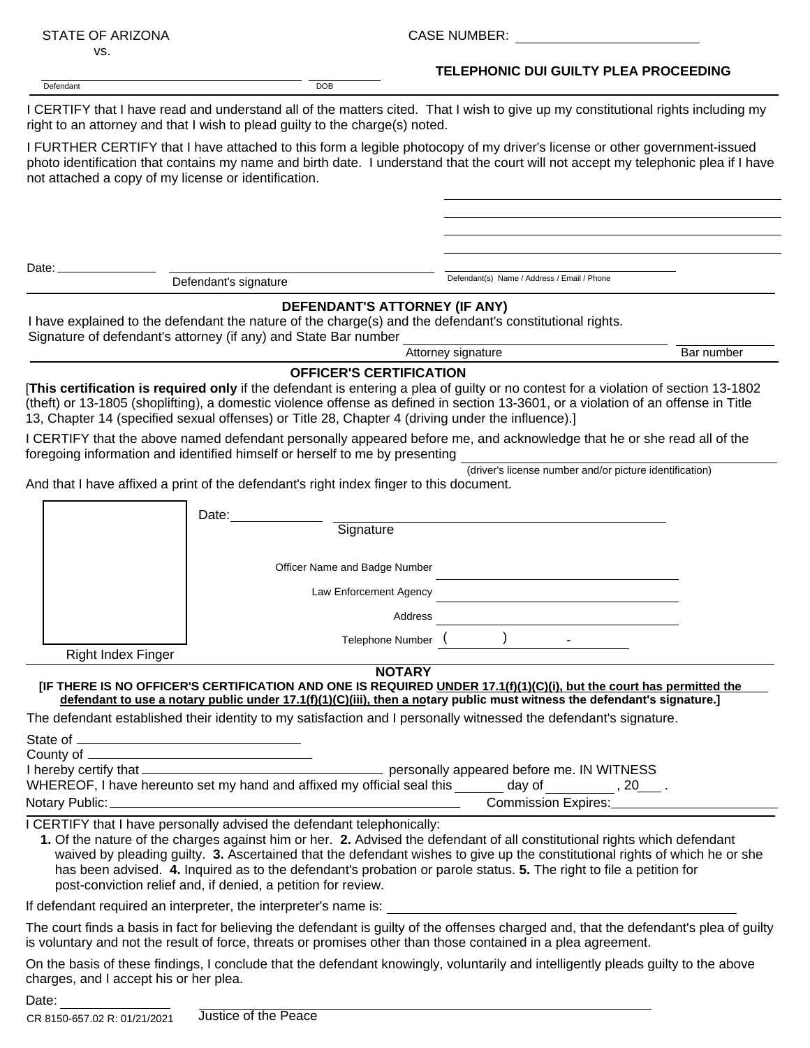| STATE OF ARIZONA                                     |                                                                                                                                         | <b>CASE NUMBER:</b>                                                                                                                                                                                                                                                                                                                                                             |            |  |  |
|------------------------------------------------------|-----------------------------------------------------------------------------------------------------------------------------------------|---------------------------------------------------------------------------------------------------------------------------------------------------------------------------------------------------------------------------------------------------------------------------------------------------------------------------------------------------------------------------------|------------|--|--|
| VS.                                                  |                                                                                                                                         |                                                                                                                                                                                                                                                                                                                                                                                 |            |  |  |
| Defendant                                            | <b>DOB</b>                                                                                                                              | TELEPHONIC DUI GUILTY PLEA PROCEEDING                                                                                                                                                                                                                                                                                                                                           |            |  |  |
|                                                      | right to an attorney and that I wish to plead guilty to the charge(s) noted.                                                            | I CERTIFY that I have read and understand all of the matters cited. That I wish to give up my constitutional rights including my                                                                                                                                                                                                                                                |            |  |  |
| not attached a copy of my license or identification. |                                                                                                                                         | I FURTHER CERTIFY that I have attached to this form a legible photocopy of my driver's license or other government-issued<br>photo identification that contains my name and birth date. I understand that the court will not accept my telephonic plea if I have                                                                                                                |            |  |  |
|                                                      |                                                                                                                                         |                                                                                                                                                                                                                                                                                                                                                                                 |            |  |  |
| Date: $\overline{\phantom{a}}$                       |                                                                                                                                         |                                                                                                                                                                                                                                                                                                                                                                                 |            |  |  |
|                                                      | Defendant's signature                                                                                                                   | Defendant(s) Name / Address / Email / Phone                                                                                                                                                                                                                                                                                                                                     |            |  |  |
|                                                      | Signature of defendant's attorney (if any) and State Bar number                                                                         | DEFENDANT'S ATTORNEY (IF ANY)<br>I have explained to the defendant the nature of the charge(s) and the defendant's constitutional rights.                                                                                                                                                                                                                                       |            |  |  |
|                                                      |                                                                                                                                         | Attorney signature                                                                                                                                                                                                                                                                                                                                                              | Bar number |  |  |
|                                                      | <b>OFFICER'S CERTIFICATION</b><br>13, Chapter 14 (specified sexual offenses) or Title 28, Chapter 4 (driving under the influence).]     | [This certification is required only if the defendant is entering a plea of guilty or no contest for a violation of section 13-1802<br>(theft) or 13-1805 (shoplifting), a domestic violence offense as defined in section 13-3601, or a violation of an offense in Title                                                                                                       |            |  |  |
|                                                      | foregoing information and identified himself or herself to me by presenting                                                             | I CERTIFY that the above named defendant personally appeared before me, and acknowledge that he or she read all of the                                                                                                                                                                                                                                                          |            |  |  |
|                                                      | And that I have affixed a print of the defendant's right index finger to this document.                                                 | (driver's license number and/or picture identification)                                                                                                                                                                                                                                                                                                                         |            |  |  |
|                                                      | Date:                                                                                                                                   |                                                                                                                                                                                                                                                                                                                                                                                 |            |  |  |
|                                                      | Signature                                                                                                                               |                                                                                                                                                                                                                                                                                                                                                                                 |            |  |  |
|                                                      | Officer Name and Badge Number                                                                                                           |                                                                                                                                                                                                                                                                                                                                                                                 |            |  |  |
|                                                      | Law Enforcement Agency                                                                                                                  |                                                                                                                                                                                                                                                                                                                                                                                 |            |  |  |
|                                                      |                                                                                                                                         | Address                                                                                                                                                                                                                                                                                                                                                                         |            |  |  |
| <b>Right Index Finger</b>                            |                                                                                                                                         | Telephone Number ( )                                                                                                                                                                                                                                                                                                                                                            |            |  |  |
|                                                      |                                                                                                                                         | <b>NOTARY</b>                                                                                                                                                                                                                                                                                                                                                                   |            |  |  |
|                                                      |                                                                                                                                         | [IF THERE IS NO OFFICER'S CERTIFICATION AND ONE IS REQUIRED UNDER 17.1(f)(1)(C)(i), but the court has permitted the<br>defendant to use a notary public under 17.1(f)(1)(C)(iii), then a notary public must witness the defendant's signature.]                                                                                                                                 |            |  |  |
|                                                      |                                                                                                                                         | The defendant established their identity to my satisfaction and I personally witnessed the defendant's signature.                                                                                                                                                                                                                                                               |            |  |  |
|                                                      |                                                                                                                                         |                                                                                                                                                                                                                                                                                                                                                                                 |            |  |  |
|                                                      |                                                                                                                                         | WHEREOF, I have hereunto set my hand and affixed my official seal this ______ day of ________, 20___.                                                                                                                                                                                                                                                                           |            |  |  |
|                                                      |                                                                                                                                         | Commission Expires:_________                                                                                                                                                                                                                                                                                                                                                    |            |  |  |
|                                                      | I CERTIFY that I have personally advised the defendant telephonically:<br>post-conviction relief and, if denied, a petition for review. | 1. Of the nature of the charges against him or her. 2. Advised the defendant of all constitutional rights which defendant<br>waived by pleading guilty. 3. Ascertained that the defendant wishes to give up the constitutional rights of which he or she<br>has been advised. 4. Inquired as to the defendant's probation or parole status. 5. The right to file a petition for |            |  |  |
|                                                      |                                                                                                                                         | If defendant required an interpreter, the interpreter's name is: example is a set of the state of the state of the state of the state of the state of the state of the state of the state of the state of the state of the sta                                                                                                                                                  |            |  |  |
|                                                      |                                                                                                                                         | The court finds a basis in fact for believing the defendant is guilty of the offenses charged and, that the defendant's plea of guilty<br>is voluntary and not the result of force, threats or promises other than those contained in a plea agreement.                                                                                                                         |            |  |  |
| charges, and I accept his or her plea.               |                                                                                                                                         | On the basis of these findings, I conclude that the defendant knowingly, voluntarily and intelligently pleads guilty to the above                                                                                                                                                                                                                                               |            |  |  |